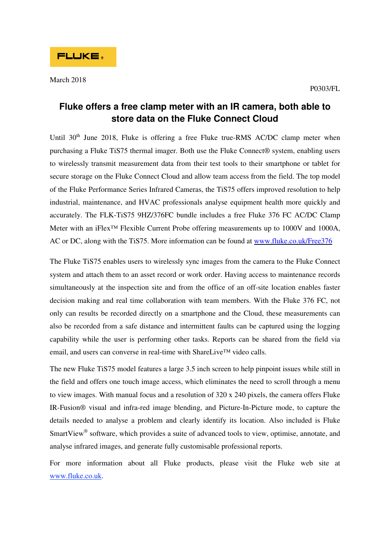## **Fluke offers a free clamp meter with an IR camera, both able to store data on the Fluke Connect Cloud**

Until 30<sup>th</sup> June 2018, Fluke is offering a free Fluke true-RMS AC/DC clamp meter when purchasing a Fluke TiS75 thermal imager. Both use the Fluke Connect® system, enabling users to wirelessly transmit measurement data from their test tools to their smartphone or tablet for secure storage on the Fluke Connect Cloud and allow team access from the field. The top model of the Fluke Performance Series Infrared Cameras, the TiS75 offers improved resolution to help industrial, maintenance, and HVAC professionals analyse equipment health more quickly and accurately. The FLK-TiS75 9HZ/376FC bundle includes a free Fluke 376 FC AC/DC Clamp Meter with an iFlex<sup>™</sup> Flexible Current Probe offering measurements up to 1000V and 1000A, AC or DC, along with the TiS75. More information can be found at www.fluke.co.uk/Free376

The Fluke TiS75 enables users to wirelessly sync images from the camera to the Fluke Connect system and attach them to an asset record or work order. Having access to maintenance records simultaneously at the inspection site and from the office of an off-site location enables faster decision making and real time collaboration with team members. With the Fluke 376 FC, not only can results be recorded directly on a smartphone and the Cloud, these measurements can also be recorded from a safe distance and intermittent faults can be captured using the logging capability while the user is performing other tasks. Reports can be shared from the field via email, and users can converse in real-time with ShareLive™ video calls.

The new Fluke TiS75 model features a large 3.5 inch screen to help pinpoint issues while still in the field and offers one touch image access, which eliminates the need to scroll through a menu to view images. With manual focus and a resolution of 320 x 240 pixels, the camera offers Fluke IR-Fusion® visual and infra-red image blending, and Picture-In-Picture mode, to capture the details needed to analyse a problem and clearly identify its location. Also included is Fluke SmartView<sup>®</sup> software, which provides a suite of advanced tools to view, optimise, annotate, and analyse infrared images, and generate fully customisable professional reports.

For more information about all Fluke products, please visit the Fluke web site at www.fluke.co.uk.